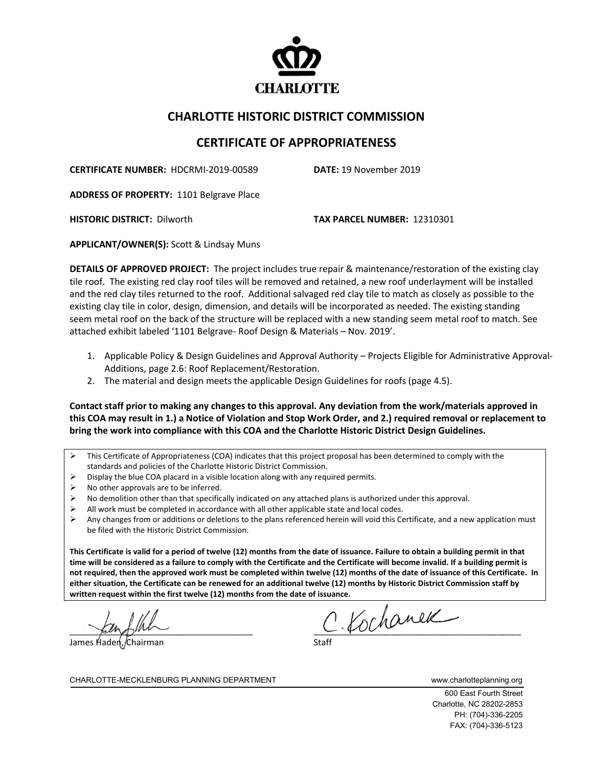

## **CHARLOTTE HISTORIC DISTRICT COMMISSION**

## **CERTIFICATE OF APPROPRIATENESS**

**CERTIFICATE NUMBER:** HDCRMI-2019-00589 **DATE:** 19 November 2019

**ADDRESS OF PROPERTY:** 1101 Belgrave Place

**HISTORIC DISTRICT:** Dilworth **TAX PARCEL NUMBER:** 12310301

**APPLICANT/OWNER(S):** Scott & Lindsay Muns

**DETAILS OF APPROVED PROJECT:** The project includes true repair & maintenance/restoration of the existing clay tile roof. The existing red clay roof tiles will be removed and retained, a new roof underlayment will be installed and the red clay tiles returned to the roof. Additional salvaged red clay tile to match as closely as possible to the existing clay tile in color, design, dimension, and details will be incorporated as needed. The existing standing seem metal roof on the back of the structure will be replaced with a new standing seem metal roof to match. See attached exhibit labeled '1101 Belgrave- Roof Design & Materials – Nov. 2019'.

- 1. Applicable Policy & Design Guidelines and Approval Authority Projects Eligible for Administrative Approval-Additions, page 2.6: Roof Replacement/Restoration.
- 2. The material and design meets the applicable Design Guidelines for roofs (page 4.5).

**Contact staff prior to making any changes to this approval. Any deviation from the work/materials approved in this COA may result in 1.) a Notice of Violation and Stop Work Order, and 2.) required removal or replacement to bring the work into compliance with this COA and the Charlotte Historic District Design Guidelines.**

- $\triangleright$  This Certificate of Appropriateness (COA) indicates that this project proposal has been determined to comply with the standards and policies of the Charlotte Historic District Commission.
- $\triangleright$  Display the blue COA placard in a visible location along with any required permits.
- No other approvals are to be inferred.
- No demolition other than that specifically indicated on any attached plans is authorized under this approval.
- All work must be completed in accordance with all other applicable state and local codes.
- Any changes from or additions or deletions to the plans referenced herein will void this Certificate, and a new application must be filed with the Historic District Commission.

**This Certificate is valid for a period of twelve (12) months from the date of issuance. Failure to obtain a building permit in that time will be considered as a failure to comply with the Certificate and the Certificate will become invalid. If a building permit is not required, then the approved work must be completed within twelve (12) months of the date of issuance of this Certificate. In either situation, the Certificate can be renewed for an additional twelve (12) months by Historic District Commission staff by written request within the first twelve (12) months from the date of issuance.** 

James Hader

 $C.\mathcal{U}$ chanek

CHARLOTTE-MECKLENBURG PLANNING DEPARTMENT WWW.charlotteplanning.org

600 East Fourth Street Charlotte, NC 28202-2853 PH: (704)-336-2205 FAX: (704)-336-5123